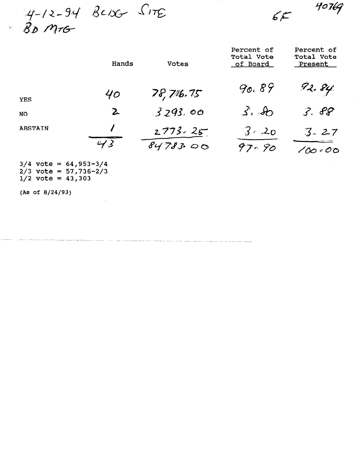$4-12-94$  BCDG SITE<br>BD MTG

 $6F$ 

40769

|                | Hands           | <b>Votes</b> | Percent of<br>Total Vote<br>of Board | Percent of<br>Total Vote<br>Present |
|----------------|-----------------|--------------|--------------------------------------|-------------------------------------|
| <b>YES</b>     | 40 <sub>o</sub> | 78,716.75    | 90.89                                | 92. 84                              |
| <b>NO</b>      | $\mathbf{z}$    | 3293.00      | 3.80                                 | 3.88                                |
| <b>ABSTAIN</b> |                 | $2773 - 25$  | $3 - 20$                             | $3 - 27$                            |
|                | 43              | 8478300      | 97-90                                | $\mathcal{O}$ $\bigcirc$            |

 $3/4$  yote  $= 64, 953-3$  $2/3$  vote  $-$  04/333 3  $1/2$  vote = 43,303

 $\mathcal{L}_{\mathcal{A}}$ 

(As of 8/24/93)

 $\zeta_0$  :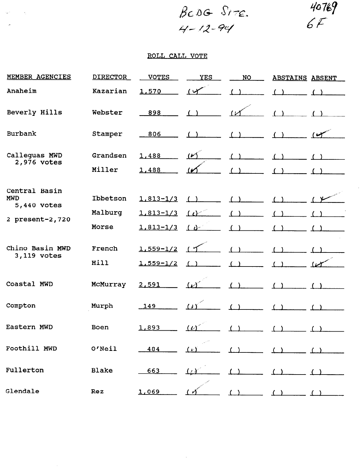$\hat{\boldsymbol{\beta}}$ 

## ROLL CALL VOTE

 $\sim 10^{11}$  and  $\sim 10^{11}$ 

 $\mathcal{L}_{\text{max}}$ 

| MEMBER AGENCIES                            | <b>DIRECTOR</b> | <b>VOTES</b>                 | <b>YES</b>          | NO         | <b>ABSTAINS ABSENT</b> |  |
|--------------------------------------------|-----------------|------------------------------|---------------------|------------|------------------------|--|
| Anaheim                                    | Kazarian        | 1,570                        | $\overline{(\vee)}$ |            |                        |  |
| Beverly Hills                              | Webster         | 898                          |                     |            |                        |  |
| Burbank                                    | Stamper         | 806                          |                     |            |                        |  |
| Calleguas MWD<br>2,976 votes               | Grandsen        | 1,488                        | $(\nu)$             |            |                        |  |
|                                            | Miller          | 1,488                        |                     |            |                        |  |
| Central Basin<br><b>MWD</b><br>5,440 votes | Ibbetson        | $1,813 - 1/3$                | ( )                 |            |                        |  |
| 2 present-2,720                            | Malburg         | $1,813-1/3$                  | $\omega$            |            |                        |  |
|                                            | Morse           | $1,813 - 1/3$                | $\int \, d^{3}x$    |            |                        |  |
| Chino Basin MWD<br>3,119 votes             | French<br>Hill  | $1,559-1/2$<br>$1.559 - 1/2$ | (15                 | ( )        |                        |  |
| Coastal MWD                                | McMurray        | 2,591                        | $(\nu)$             | $\epsilon$ |                        |  |
| Compton                                    | Murph           | 149                          | $\overline{11}$     | (1)        |                        |  |
| Eastern MWD                                | Boen            | 1,893                        | (L)                 |            |                        |  |
| Foothill MWD                               | O'Neil          | 484                          | $(\nu)$             |            |                        |  |
| Fullerton                                  | <b>Blake</b>    | 663                          | 677                 |            |                        |  |
| Glendale                                   | <b>Rez</b>      | 1,069                        |                     |            |                        |  |

 $\sim 10^{-11}$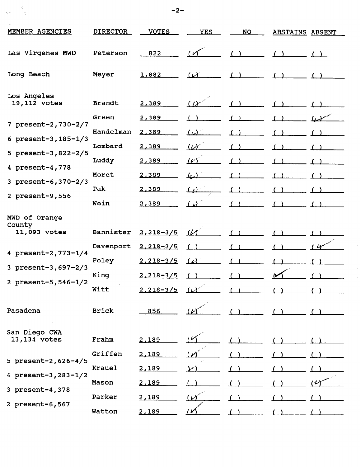| MEMBER AGENCIES                         | <b>DIRECTOR</b> | <b>VOTES</b>      | <b>YES</b>                  | <b>NO</b> | <b>ABSTAINS ABSENT</b> |  |
|-----------------------------------------|-----------------|-------------------|-----------------------------|-----------|------------------------|--|
| Las Virgenes MWD                        | Peterson        | 822               | س ،                         |           |                        |  |
| Long Beach                              | Meyer           | 1,882             | $\omega$                    |           |                        |  |
| Los Angeles<br>19,112 votes             | <b>Brandt</b>   | 2,389             | (1)                         |           |                        |  |
| 7 present-2,730-2/7                     | Green           | 2,389             |                             |           |                        |  |
| 6 present-3, $185 - 1/3$                | Handelman       | 2,389             | $\mu$                       |           |                        |  |
| 5 present-3,822-2/5                     | Lombard         | 2,389             | $\overline{\mathcal{W}}$    |           |                        |  |
| 4 present-4,778                         | Luddy           | 2,389             | $\mathcal{L}^{\mathcal{P}}$ |           |                        |  |
|                                         | Moret           | 2,389             | $\omega$                    |           |                        |  |
| 3 present-6, 370-2/3                    | Pak             | 2,389             | $\Omega$                    |           |                        |  |
| 2 present-9,556                         | Wein            | 2,389             |                             |           |                        |  |
| MWD of Orange<br>County<br>11,093 votes | Bannister       | $2,218 - 3/5$     | $\mu$                       |           |                        |  |
|                                         | Davenport       | $2,218 - 3/5$     |                             |           |                        |  |
| 4 present-2, 773-1/4                    | Foley           | $2,218 - 3/5$     | لمعک                        |           |                        |  |
| 3 present-3,697-2/3                     | King            | $2,218 - 3/5$     |                             |           |                        |  |
| 2 present-5, 546-1/2                    | Witt            | $2,218-3/5$ $1/2$ |                             | $\sim$    |                        |  |
| Pasadena                                | <b>Brick</b>    | 856               |                             |           |                        |  |
| San Diego CWA<br>13,134 votes           | Frahm           | 2,189             |                             |           |                        |  |
|                                         | Griffen         | 2,189             |                             |           |                        |  |
| 5 present-2,626-4/5                     | Krauel          | 2,189             | "                           |           |                        |  |
| 4 present-3, $283 - 1/2$                | Mason           | 2,189             |                             |           |                        |  |
| 3 present-4,378                         | Parker          | 2,189             | سمبر<br>سمبر                |           |                        |  |
| 2 present-6,567                         | Watton          | 2,189             |                             |           |                        |  |

 $\frac{1}{2}$ 

 $\hat{\boldsymbol{\theta}}$  $\frac{1}{\sqrt{2}}$ 

 $\sim$  -2-contract to the contract of  $\sim$  -2-contract to  $\sim$  -2-contract to  $\sim$